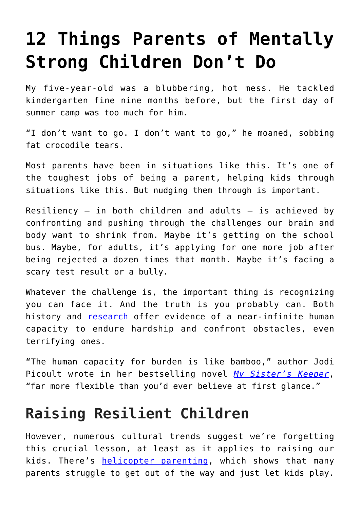# **[12 Things Parents of Mentally](https://intellectualtakeout.org/2019/06/12-things-parents-of-mentally-strong-children-dont-do/) [Strong Children Don't Do](https://intellectualtakeout.org/2019/06/12-things-parents-of-mentally-strong-children-dont-do/)**

My five-year-old was a blubbering, hot mess. He tackled kindergarten fine nine months before, but the first day of summer camp was too much for him.

"I don't want to go. I don't want to go," he moaned, sobbing fat crocodile tears.

Most parents have been in situations like this. It's one of the toughest jobs of being a parent, helping kids through situations like this. But nudging them through is important.

Resiliency  $-$  in both children and adults  $-$  is achieved by confronting and pushing through the challenges our brain and body want to shrink from. Maybe it's getting on the school bus. Maybe, for adults, it's applying for one more job after being rejected a dozen times that month. Maybe it's facing a scary test result or a bully.

Whatever the challenge is, the important thing is recognizing you can face it. And the truth is you probably can. Both history and [research](https://www.newyorker.com/science/maria-konnikova/the-secret-formula-for-resilience) offer evidence of a near-infinite human capacity to endure hardship and confront obstacles, even terrifying ones.

"The human capacity for burden is like bamboo," author Jodi Picoult wrote in her bestselling novel *[My Sister's Keeper](https://amzn.to/2F3uIUd)*, "far more flexible than you'd ever believe at first glance."

### **Raising Resilient Children**

However, numerous cultural trends suggest we're forgetting this crucial lesson, at least as it applies to raising our kids. There's [helicopter parenting,](https://en.wikipedia.org/wiki/Helicopter_parent) which shows that many parents struggle to get out of the way and just let kids play.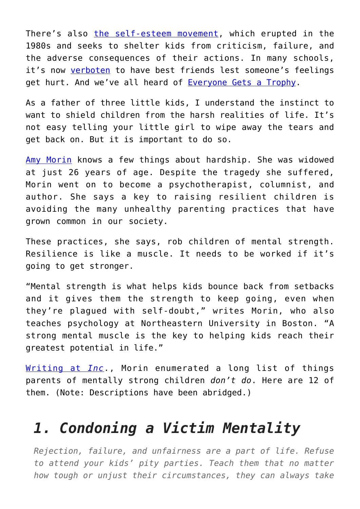There's also [the self-esteem movement,](https://medium.com/fee-org/what-the-self-esteem-movement-got-disastrously-wrong-dan-sanchez-87cc84dbe8c4) which erupted in the 1980s and seeks to shelter kids from criticism, failure, and the adverse consequences of their actions. In many schools, it's now [verboten](https://nypost.com/2018/01/14/the-mindless-attack-on-letting-kids-have-best-friends/) to have best friends lest someone's feelings get hurt. And we've all heard of [Everyone Gets a Trophy.](https://www.intellectualtakeout.org/blog/everyone-gets-trophy-mentality-out-control)

As a father of three little kids, I understand the instinct to want to shield children from the harsh realities of life. It's not easy telling your little girl to wipe away the tears and get back on. But it is important to do so.

[Amy Morin](https://en.wikipedia.org/wiki/Amy_Morin) knows a few things about hardship. She was widowed at just 26 years of age. Despite the tragedy she suffered, Morin went on to become a psychotherapist, columnist, and author. She says a key to raising resilient children is avoiding the many unhealthy parenting practices that have grown common in our society.

These practices, she says, rob children of mental strength. Resilience is like a muscle. It needs to be worked if it's going to get stronger.

"Mental strength is what helps kids bounce back from setbacks and it gives them the strength to keep going, even when they're plagued with self-doubt," writes Morin, who also teaches psychology at Northeastern University in Boston. "A strong mental muscle is the key to helping kids reach their greatest potential in life."

[Writing at](https://www.inc.com/amy-morin/mentally-strong-kids-have-parents-who-refuse-to-do-these-13-things.html) *[Inc](https://www.inc.com/amy-morin/mentally-strong-kids-have-parents-who-refuse-to-do-these-13-things.html)*., Morin enumerated a long list of things parents of mentally strong children *don't do*. Here are 12 of them. (Note: Descriptions have been abridged.)

#### *1. Condoning a Victim Mentality*

*Rejection, failure, and unfairness are a part of life. Refuse to attend your kids' pity parties. Teach them that no matter how tough or unjust their circumstances, they can always take*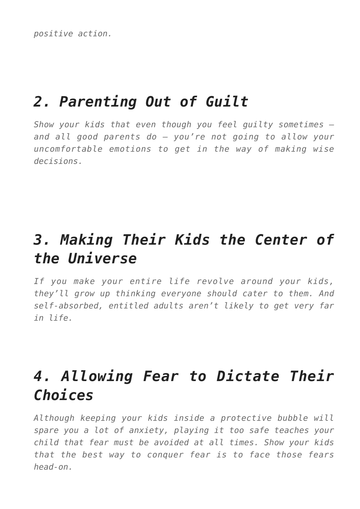*positive action.*

### *2. Parenting Out of Guilt*

*Show your kids that even though you feel guilty sometimes – and all good parents do – you're not going to allow your uncomfortable emotions to get in the way of making wise decisions.*

# *3. Making Their Kids the Center of the Universe*

*If you make your entire life revolve around your kids, they'll grow up thinking everyone should cater to them. And self-absorbed, entitled adults aren't likely to get very far in life.*

### *4. Allowing Fear to Dictate Their Choices*

*Although keeping your kids inside a protective bubble will spare you a lot of anxiety, playing it too safe teaches your child that fear must be avoided at all times. Show your kids that the best way to conquer fear is to face those fears head-on.*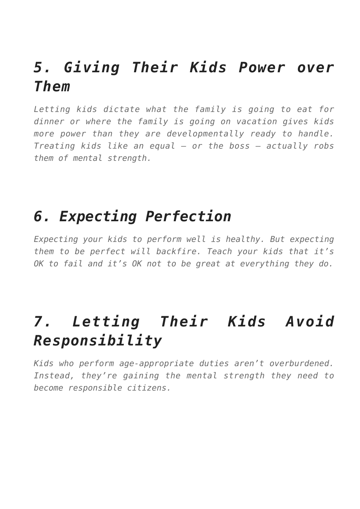## *5. Giving Their Kids Power over Them*

*Letting kids dictate what the family is going to eat for dinner or where the family is going on vacation gives kids more power than they are developmentally ready to handle. Treating kids like an equal – or the boss – actually robs them of mental strength.*

#### *6. Expecting Perfection*

*Expecting your kids to perform well is healthy. But expecting them to be perfect will backfire. Teach your kids that it's OK to fail and it's OK not to be great at everything they do.*

# *7. Letting Their Kids Avoid Responsibility*

*Kids who perform age-appropriate duties aren't overburdened. Instead, they're gaining the mental strength they need to become responsible citizens.*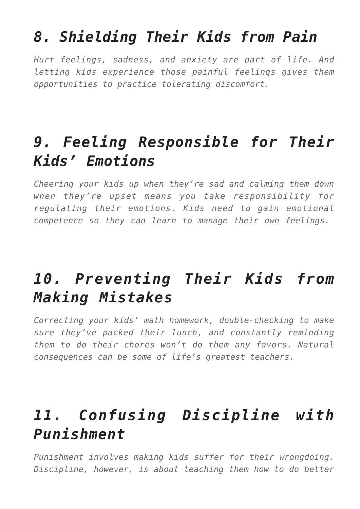### *8. Shielding Their Kids from Pain*

*Hurt feelings, sadness, and anxiety are part of life. And letting kids experience those painful feelings gives them opportunities to practice tolerating discomfort.*

# *9. Feeling Responsible for Their Kids' Emotions*

*Cheering your kids up when they're sad and calming them down when they're upset means you take responsibility for regulating their emotions. Kids need to gain emotional competence so they can learn to manage their own feelings.*

# *10. Preventing Their Kids from Making Mistakes*

*Correcting your kids' math homework, double-checking to make sure they've packed their lunch, and constantly reminding them to do their chores won't do them any favors. Natural consequences can be some of life's greatest teachers.*

# *11. Confusing Discipline with Punishment*

*Punishment involves making kids suffer for their wrongdoing. Discipline, however, is about teaching them how to do better*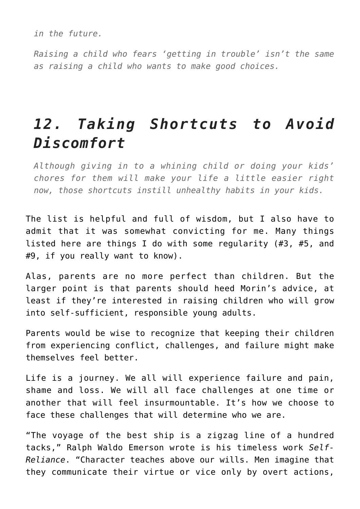*in the future.*

*Raising a child who fears 'getting in trouble' isn't the same as raising a child who wants to make good choices.*

### *12. Taking Shortcuts to Avoid Discomfort*

*Although giving in to a whining child or doing your kids' chores for them will make your life a little easier right now, those shortcuts instill unhealthy habits in your kids.*

The list is helpful and full of wisdom, but I also have to admit that it was somewhat convicting for me. Many things listed here are things I do with some regularity (#3, #5, and #9, if you really want to know).

Alas, parents are no more perfect than children. But the larger point is that parents should heed Morin's advice, at least if they're interested in raising children who will grow into self-sufficient, responsible young adults.

Parents would be wise to recognize that keeping their children from experiencing conflict, challenges, and failure might make themselves feel better.

Life is a journey. We all will experience failure and pain, shame and loss. We will all face challenges at one time or another that will feel insurmountable. It's how we choose to face these challenges that will determine who we are.

"The voyage of the best ship is a zigzag line of a hundred tacks," Ralph Waldo Emerson wrote is his timeless work *Self-Reliance*. "Character teaches above our wills. Men imagine that they communicate their virtue or vice only by overt actions,